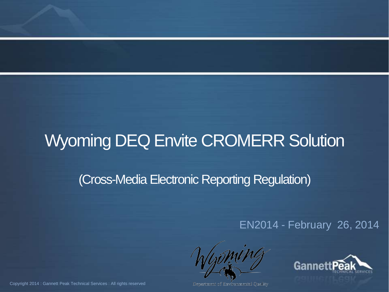## Wyoming DEQ Envite CROMERR Solution

#### (Cross-Media Electronic Reporting Regulation)

#### EN2014 - February 26, 2014



Department of Environmental Cuality

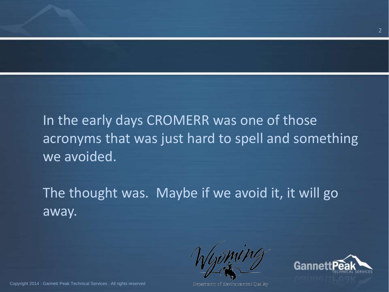In the early days CROMERR was one of those acronyms that was just hard to spell and something we avoided.

The thought was. Maybe if we avoid it, it will go away.

Department of Environmental Cuality

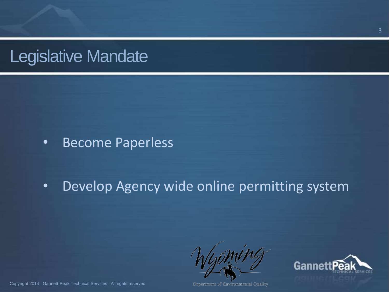## Legislative Mandate

#### • Become Paperless

#### • Develop Agency wide online permitting system

Department of Environmental Cuality



Copyright 2014 : Gannett Peak Technical Services : All rights reserved

3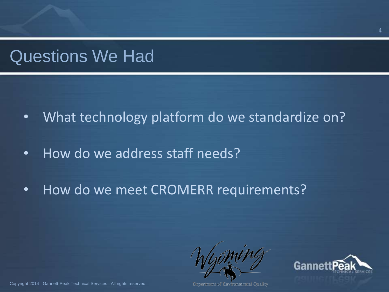### Questions We Had

- What technology platform do we standardize on?
- How do we address staff needs?
- How do we meet CROMERR requirements?

Department of Environmental Cuality

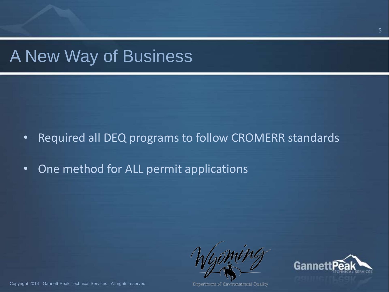## A New Way of Business

• Required all DEQ programs to follow CROMERR standards

• One method for ALL permit applications

Department of Environmental Cuality

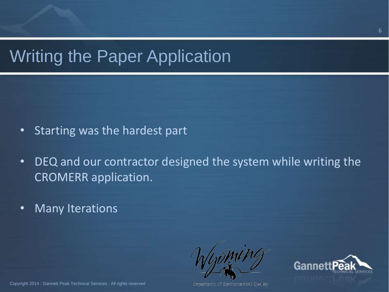## Writing the Paper Application

- Starting was the hardest part
- DEQ and our contractor designed the system while writing the CROMERR application.
- Many Iterations

Department of Environmental Quality

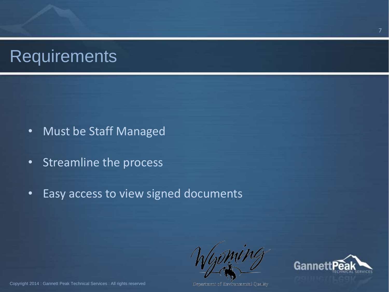## **Requirements**

- Must be Staff Managed
- Streamline the process
- Easy access to view signed documents

Department of Environmental Cuality

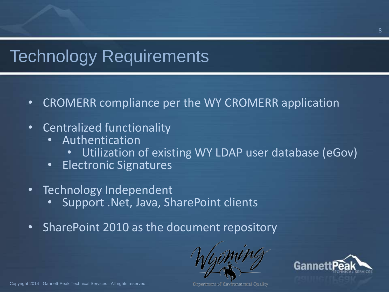## Technology Requirements

- CROMERR compliance per the WY CROMERR application
- Centralized functionality
	- Authentication
		- Utilization of existing WY LDAP user database (eGov)
	- Electronic Signatures
- Technology Independent
	- Support .Net, Java, SharePoint clients
- SharePoint 2010 as the document repository



Oepanment of Environmental Cuality

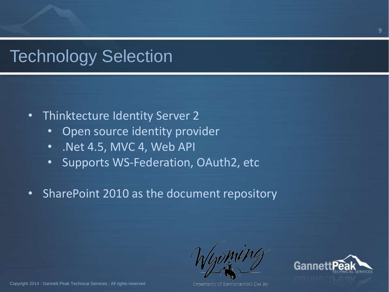## Technology Selection

- Thinktecture Identity Server 2
	- Open source identity provider
	- .Net 4.5, MVC 4, Web API
	- Supports WS-Federation, OAuth2, etc
- SharePoint 2010 as the document repository

Department of Environmental Cuality

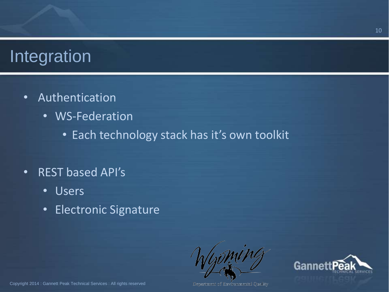## Integration

- Authentication
	- WS-Federation
		- Each technology stack has it's own toolkit
- REST based API's
	- Users
	- Electronic Signature

Department of Environmental Cuality

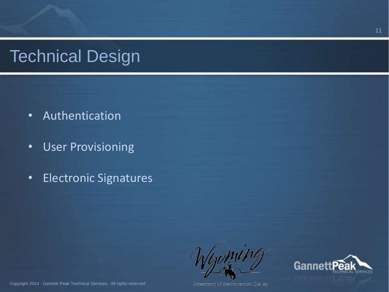# Technical Design

- Authentication
- User Provisioning
- Electronic Signatures

Department of Environmental Quality

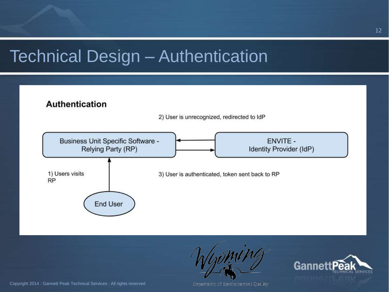## Technical Design – Authentication





Department of Environmental Cuality

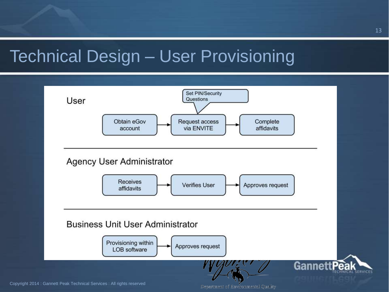## Technical Design – User Provisioning



Copyright 2014 : Gannett Peak Technical Services : All rights reserved

Department of Environmental Quality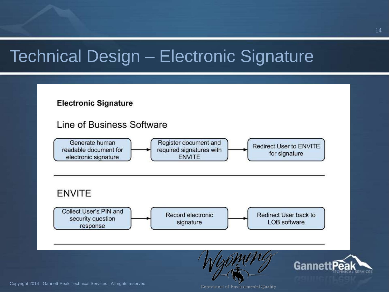## Technical Design – Electronic Signature



Copyright 2014 : Gannett Peak Technical Services : All rights reserved

Department of Environmental Cuality.

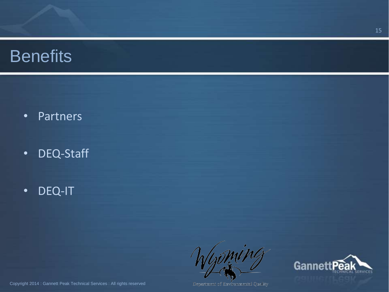- Partners
- DEQ-Staff
- DEQ-IT



Department of Environmental Quality

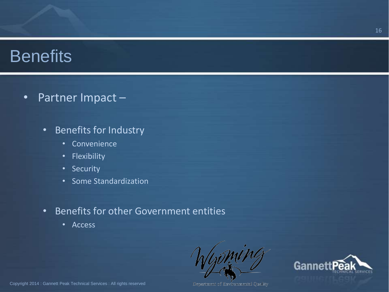• Partner Impact –

- Benefits for Industry
	- Convenience
	- Flexibility
	- Security
	- Some Standardization
- Benefits for other Government entities
	- Access



Department of Environmental Quality

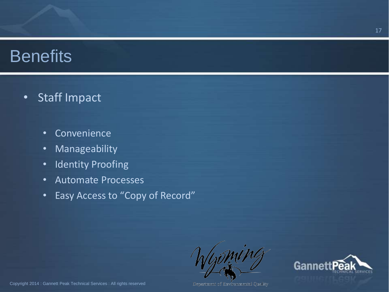- Staff Impact
	- Convenience
	- Manageability
	- Identity Proofing
	- Automate Processes
	- Easy Access to "Copy of Record"

Department of Environmental Quality



Copyright 2014 : Gannett Peak Technical Services : All rights reserved

17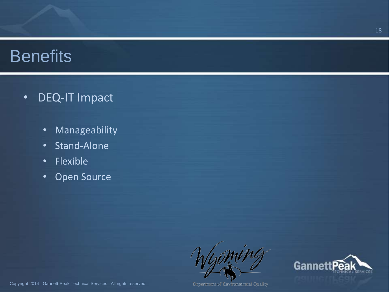- DEQ-IT Impact
	- Manageability
	- Stand-Alone
	- Flexible
	- Open Source

Department of Environmental Quality

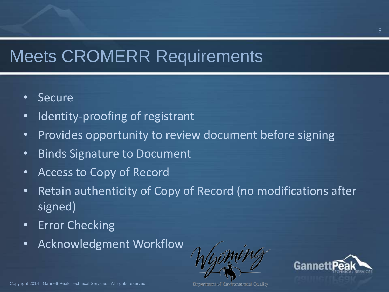# Meets CROMERR Requirements

- Secure
- Identity-proofing of registrant
- Provides opportunity to review document before signing
- Binds Signature to Document
- Access to Copy of Record
- Retain authenticity of Copy of Record (no modifications after signed)
- Error Checking
- Acknowledgment Workflow



Oepanment of Environmental Cuality

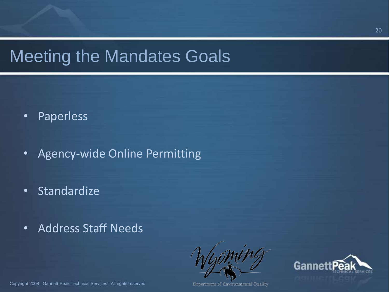## Meeting the Mandates Goals

- Paperless
- Agency-wide Online Permitting
- Standardize
- Address Staff Needs



Department of Environmental Cuality